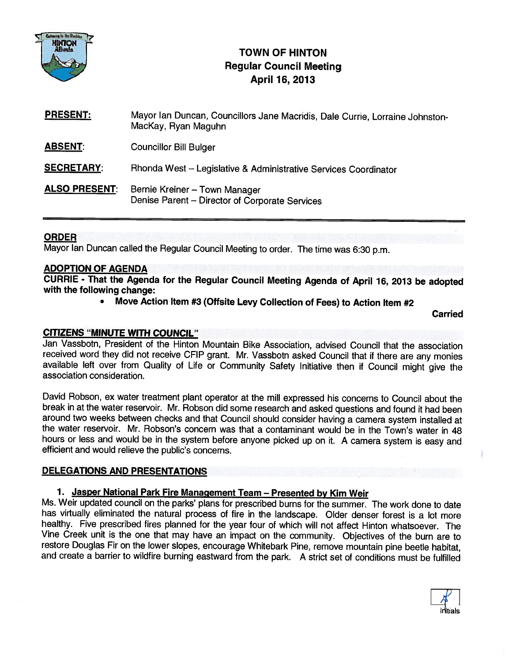

# TOWN OF HINTON Regular Council Meeting April 16, 2013

| <b>PRESENT:</b>      | Mayor Ian Duncan, Councillors Jane Macridis, Dale Currie, Lorraine Johnston-<br>MacKay, Ryan Maguhn |
|----------------------|-----------------------------------------------------------------------------------------------------|
| <b>ABSENT:</b>       | <b>Councillor Bill Bulger</b>                                                                       |
| <b>SECRETARY:</b>    | Rhonda West - Legislative & Administrative Services Coordinator                                     |
| <b>ALSO PRESENT:</b> | Bernie Kreiner - Town Manager<br>Denise Parent - Director of Corporate Services                     |

### ORDER

Mayor Ian Duncan called the Regular Council Meeting to order. The time was 6:30 p.m.

### ADOPTION OF AGENDA

CURRIE - That the Agenda for the Regular Council Meeting Agenda of April 16, <sup>2013</sup> be adopted with the following change:

 $\bullet$ Move Action Item #3 (Offsite Levy Collection of Fees) to Action Item #2

Carried

### CITIZENS "MINUTE WITH COUNCIL"

Jan Vassbotn, President of the Hinton Mountain Bike Association, advised Council that the association available left over from Quality of Life or Community Safety Initiative then if Council might give the association consideration.

David Robson, ex water treatment <sup>p</sup>lant operator at the mill expressed his concerns to Council about the break in at the water reservoir. Mr. Robson did some research and asked questions and found it had been the water reservoir. Mr. Robson's concern was that a contaminant would be in the Town's water in 48 hours or less and would be in the system before anyone <sup>p</sup>icked up on it. <sup>A</sup> camera system is easy and efficient and would relieve the public's concerns.

### DELEGATIONS AND PRESENTATIONS

### 1. Jasper National Park Fire Management Team - Presented by Kim Weir

Ms. Weir updated council on the parks' <sup>p</sup>lans for prescribed burns for the summer. The work done to date has virtually eliminated the natural process of fire in the landscape. Older denser forest is <sup>a</sup> lot more healthy. Five prescribed fires <sup>p</sup>lanned for the year four of which will not affect Hinton whatsoever. The Vine Creek unit is the one that may have an impact on the community. Objectives of the burn are to restore Douglas Fir on the lower slopes, encourage Whitebark Pine, remove mountain pine beetle habitat, and create a barrier to wildfire burning eastward from the park. A strict set of conditions must be fulfilled

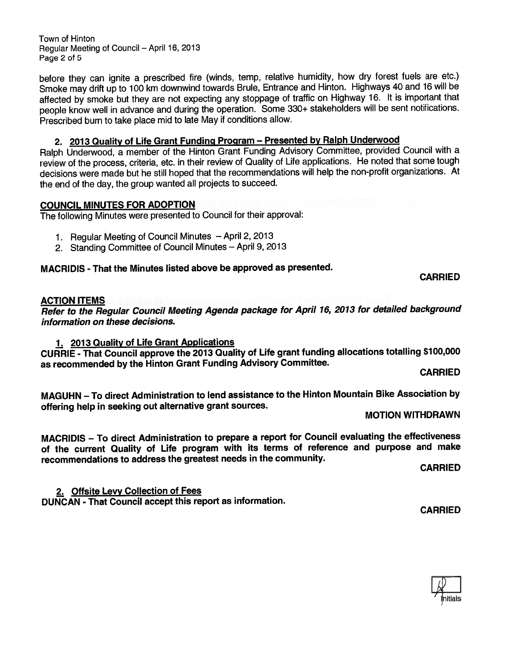Town of Hinton Regular Meeting of Council — April 16, 2013 Page 2 of 5

before they can ignite <sup>a</sup> prescribed fire (winds, temp, relative humidity, how dry forest fuels are etc.) Smoke may drift up to <sup>100</sup> km downwind towards Brule, Entrance and Hinton. Highways <sup>40</sup> and <sup>16</sup> will be affected by smoke but they are not expecting any stoppage of traffic on Highway 16. It is important that people know well in advance and during the operation. Some 330+ stakeholders will be sent notifications. Prescribed burn to take <sup>p</sup>lace mid to late May if conditions allow.

### 2. 2013 Quality of Life Grant Funding Program - Presented by Ralph Underwood

Ralph Underwood, <sup>a</sup> member of the Hinton Grant Funding Advisory Committee, provided Council with <sup>a</sup> review of the process, criteria, etc. in their review of Quality of Life applications. He noted that some tough decisions were made but he still hoped that the recommendations will help the non-profit organizations. At the end of the day, the group wanted all projects to succeed.

### COUNCIL MINUTES FOR ADOPTION

The following Minutes were presented to Council for their approval:

- 1. Regular Meeting of Council Minutes April 2, <sup>2013</sup>
- 2. Standing Committee of Council Minutes April 9, <sup>2013</sup>

### MACRIDIS -That the Minutes listed above be approved as presented.

### CARRIED

### ACTION ITEMS

Refer to the Regular Council Meeting Agenda package for April 16, <sup>2013</sup> for detailed background information on these decisions.

### 1. 2013 Quality of Life Grant Applications

CURRIE - That Council approve the <sup>2013</sup> Quality of Life gran<sup>t</sup> funding allocations totalling \$100,000 as recommended by the Hinton Grant Funding Advisory Committee. CARRIED

MAGUHN — To direct Administration to lend assistance to the Hinton Mountain Bike Association by offering help in seeking out alternative grant sources.<br>MOTION WITHDRAWN

MACRIDIS — To direct Administration to prepare <sup>a</sup> repor<sup>t</sup> for Council evaluating the effectiveness of the current Quality of Life program with its terms of reference and purpose and make recommendations to address the greatest needs in the community.

CARRIED

2. Offsite Levy Collection of Fees DUNCAN - That Council accep<sup>t</sup> this repor<sup>t</sup> as information.

CARRIED

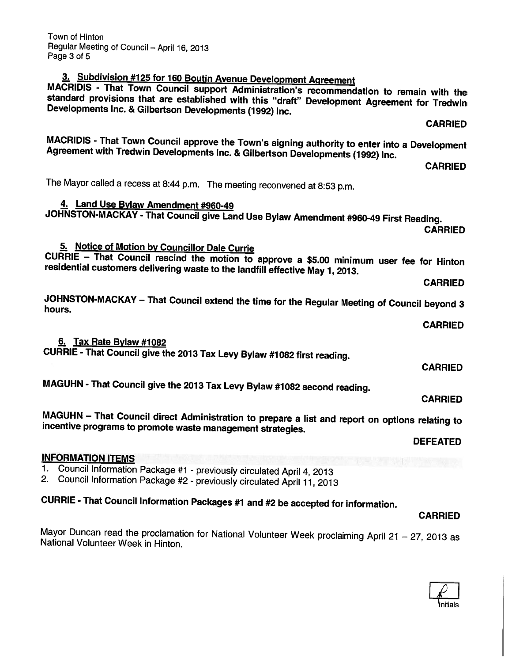| MAGUHN - That Council give the 2013 Tax Levy Bylaw #1082 second reading.                                                                                      |                 |
|---------------------------------------------------------------------------------------------------------------------------------------------------------------|-----------------|
|                                                                                                                                                               | <b>CARRIED</b>  |
| MAGUHN - That Council direct Administration to prepare a list and report on options relating to<br>incentive programs to promote waste management strategies. |                 |
|                                                                                                                                                               | <b>DEFEATED</b> |
| <b>INFORMATION ITEMS</b>                                                                                                                                      |                 |
| 1. Council Information Package #1 - previously circulated April 4, 2013                                                                                       |                 |
| 2. Council Information Package #2 - previously circulated April 11, 2013                                                                                      |                 |

Mayor Duncan read the proclamation for National Volunteer Week proclaiming April 21 - 27, 2013 as National Volunteer Week in Hinton.

The Mayor called <sup>a</sup> recess at 8:44 p.m. The meeting reconvened at 8:53 p.m. 4. Land Use Bylaw Amendment #960-49

JOHNSTON-MACKAY - That Council <sup>g</sup>ive Land Use Bylaw Amendment #960-49 First Reading.

CARRIED

MACRIDIS - That Town Council approve the Town's signing authority to enter into a Development<br>Agreement with Tredwin Developments Inc. & Gilbertson Developments (1992) Inc.

### 5. Notice of Motion by Councillor Dale Currie

CURRIE — That Council rescind the motion to approve <sup>a</sup> \$5.00 minimum user fee for Hinton residential customers delivering waste to the landfill effective May 1, 2013.

JOHNSTON-MACKAY – That Council extend the time for the Regular Meeting of Council beyond 3<br>hours.

6. Tax Rate Bylaw #1082 CURRIE - That Council <sup>g</sup>ive the <sup>2013</sup> Tax Levy Bylaw #1082 first reading.

MAGUHN - That Council give the 2012 Tax

CURRIE - That Council Information Packages #1 and #2 be accepted for information.

Town of Hinton Regular Meeting of Council — April 16, <sup>2013</sup> Page 3 of 5

# 3. Subdivision #125 for 160 Boutin Avenue Development Agreement<br>MACRIDIS - That Town Council support Administration's recommendation to remain with the<br>standard provisions that are established with this "draft" Development

CARRIED

CARRIED

CARRIED

CARRIED

CARRIED

CARRIED

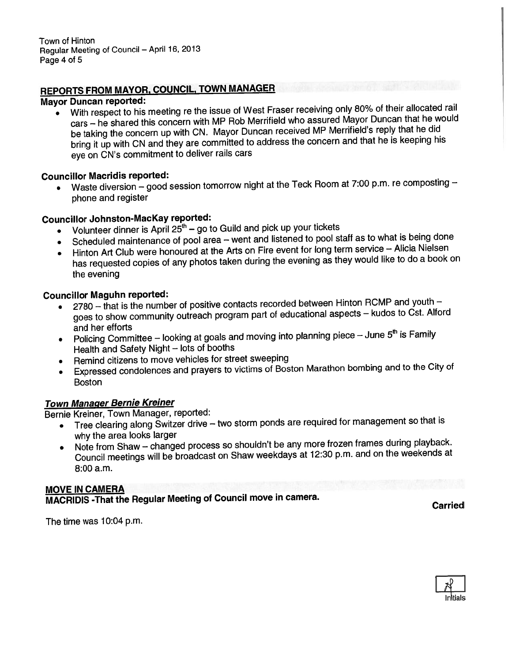Town of Hinton Regular Meeting of Council — April 16, <sup>2013</sup> Page 4 of 5

# REPORTS FROM MAYOR, COUNCIL, TOWN MANAGER

### Mayor Duncan reported:

 With respec<sup>t</sup> to his meeting re the issue of West Fraser receiving only 80% of their allocated rail cars — he shared this concern with MP Rob Merrifield who assured Mayor Duncan that he would be taking the concern up with CN. Mayor Duncan received MP Merrifield's reply that he did bring it up with CN and they are committed to address the concern and that he is keeping his eye on CN's commitment to deliver rails cars

### Councillor Macridis reported:

• Waste diversion — goo<sup>d</sup> session tomorrow night at the Teck Room at 7:00 p.m. re composting <sup>p</sup>hone and register

### Councillor Johnston-Mackay reported:

- $\bullet$  Wolunteer dinner is April 25<sup>th</sup> go to Guild and pick up your tickets
- •Scheduled maintenance of pool area – went and listened to pool staff as to what is being done
- Hinton Art Club were honoured at the Arts on Fire event for long term service Alicia Nielsen has requested copies of any <sup>p</sup>hotos taken during the evening as they would like to do <sup>a</sup> book on the evening

### Councilior Maguhn reported:

- • <sup>2780</sup> — that is the number of positive contacts recorded between Hinton RCMP and youth goes to show community outreach program par<sup>t</sup> of educational aspects — kudos to Cst. Altord and her efforts
- Policing Committee looking at goals and moving into planning piece June  $5<sup>th</sup>$  is Family Health and Safety Night — lots of booths
- •Remind citizens to move vehicles for street sweeping
- • Expressed condolences and prayers to victims of Boston Marathon bombing and to the City of Boston

### Town Manager Bernie Kreiner

Bernie Kreiner, Town Manager, reported:

- •Tree clearing along Switzer drive - two storm ponds are required for management so that is why the area looks larger
- Note from Shaw changed process so shouldn't be any more frozen frames during playback. Council meetings will be broadcast on Shaw weekdays at 12:30 p.m. and on the weekends at 8:00 a.m.

### MOVE IN CAMERA

MACRIDIS -That the Regular Meeting of Council move in camera.

The time was 10:04 p.m.